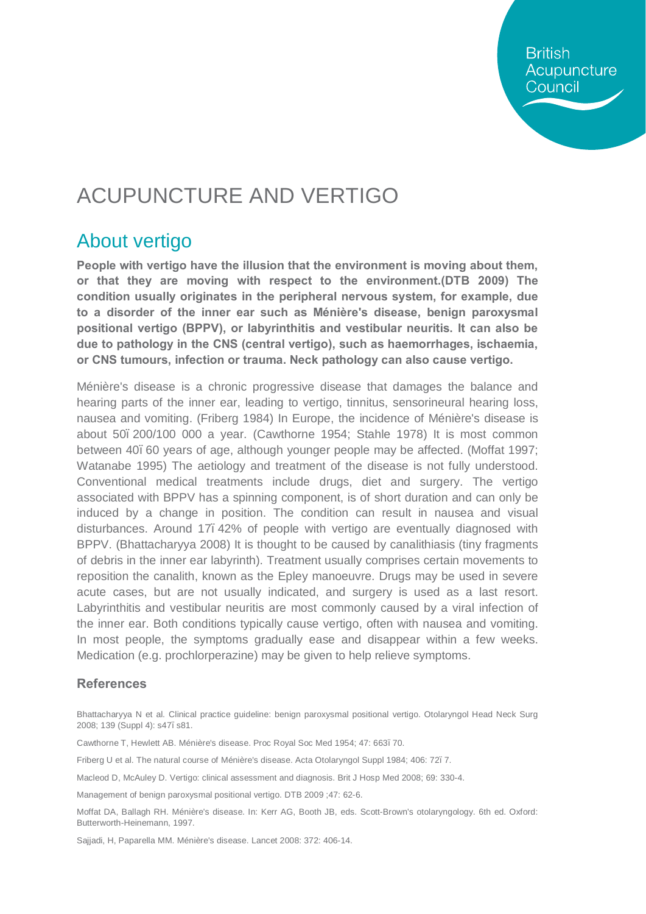**British** Acupuncture Council

# ACUPUNCTURE AND VERTIGO

### About vertigo

**People with vertigo have the illusion that the environment is moving about them, or that they are moving with respect to the environment.(DTB 2009) The condition usually originates in the peripheral nervous system, for example, due to a disorder of the inner ear such as Ménière's disease, benign paroxysmal positional vertigo (BPPV), or labyrinthitis and vestibular neuritis. It can also be due to pathology in the CNS (central vertigo), such as haemorrhages, ischaemia, or CNS tumours, infection or trauma. Neck pathology can also cause vertigo.**

Ménière's disease is a chronic progressive disease that damages the balance and hearing parts of the inner ear, leading to vertigo, tinnitus, sensorineural hearing loss, nausea and vomiting. (Friberg 1984) In Europe, the incidence of Ménière's disease is about 50–200/100 000 a year. (Cawthorne 1954; Stahle 1978) It is most common between 40, 60 years of age, although younger people may be affected. (Moffat 1997; Watanabe 1995) The aetiology and treatment of the disease is not fully understood. Conventional medical treatments include drugs, diet and surgery. The vertigo associated with BPPV has a spinning component, is of short duration and can only be induced by a change in position. The condition can result in nausea and visual disturbances. Around 17–42% of people with vertigo are eventually diagnosed with BPPV. (Bhattacharyya 2008) It is thought to be caused by canalithiasis (tiny fragments of debris in the inner ear labyrinth). Treatment usually comprises certain movements to reposition the canalith, known as the Epley manoeuvre. Drugs may be used in severe acute cases, but are not usually indicated, and surgery is used as a last resort. Labyrinthitis and vestibular neuritis are most commonly caused by a viral infection of the inner ear. Both conditions typically cause vertigo, often with nausea and vomiting. In most people, the symptoms gradually ease and disappear within a few weeks. Medication (e.g. prochlorperazine) may be given to help relieve symptoms.

#### **References**

Bhattacharyya N et al. Clinical practice guideline: benign paroxysmal positional vertigo. Otolaryngol Head Neck Surg 2008; 139 (Suppl 4): s47. s81.

Cawthorne T, Hewlett AB. Ménière's disease. Proc Royal Soc Med 1954; 47: 663. 70.

Friberg U et al. The natural course of Ménière's disease. Acta Otolaryngol Suppl 1984; 406: 72–7.

Macleod D, McAuley D. Vertigo: clinical assessment and diagnosis. Brit J Hosp Med 2008; 69: 330-4.

Management of benign paroxysmal positional vertigo. DTB 2009 ;47: 62-6.

Moffat DA, Ballagh RH. Ménière's disease. In: Kerr AG, Booth JB, eds. Scott-Brown's otolaryngology. 6th ed. Oxford: Butterworth-Heinemann, 1997.

Sajjadi, H, Paparella MM. Ménière's disease. Lancet 2008: 372: 406-14.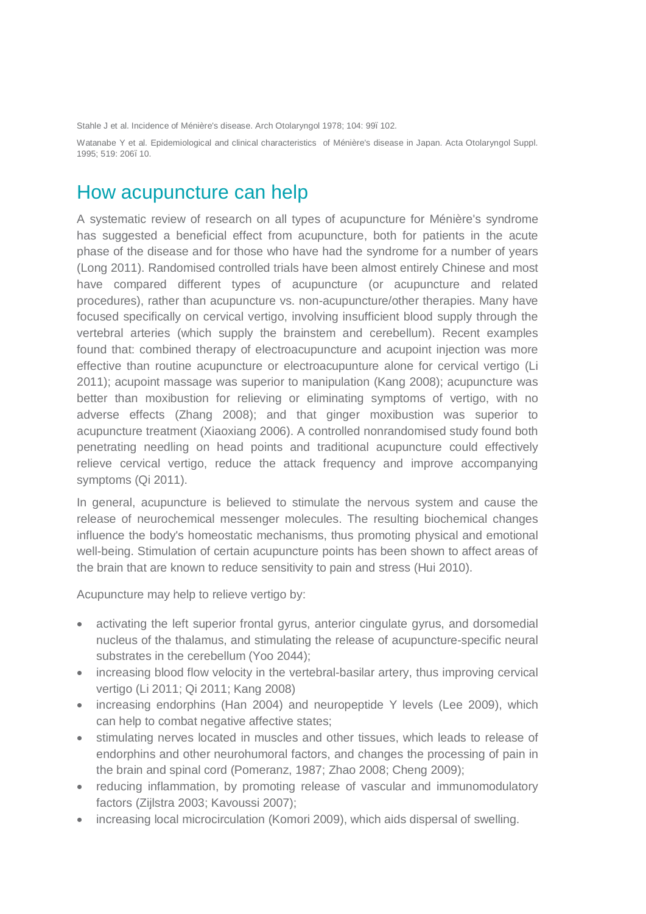Stahle J et al. Incidence of Ménière's disease. Arch Otolaryngol 1978; 104: 99. 102.

Watanabe Y et al. Epidemiological and clinical characteristics of Ménière's disease in Japan. Acta Otolaryngol Suppl. 1995; 519: 206–10.

#### How acupuncture can help

A systematic review of research on all types of acupuncture for Ménière's syndrome has suggested a beneficial effect from acupuncture, both for patients in the acute phase of the disease and for those who have had the syndrome for a number of years (Long 2011). Randomised controlled trials have been almost entirely Chinese and most have compared different types of acupuncture (or acupuncture and related procedures), rather than acupuncture vs. non-acupuncture/other therapies. Many have focused specifically on cervical vertigo, involving insufficient blood supply through the vertebral arteries (which supply the brainstem and cerebellum). Recent examples found that: combined therapy of electroacupuncture and acupoint injection was more effective than routine acupuncture or electroacupunture alone for cervical vertigo (Li 2011); acupoint massage was superior to manipulation (Kang 2008); acupuncture was better than moxibustion for relieving or eliminating symptoms of vertigo, with no adverse effects (Zhang 2008); and that ginger moxibustion was superior to acupuncture treatment (Xiaoxiang 2006). A controlled nonrandomised study found both penetrating needling on head points and traditional acupuncture could effectively relieve cervical vertigo, reduce the attack frequency and improve accompanying symptoms (Qi 2011).

In general, acupuncture is believed to stimulate the nervous system and cause the release of neurochemical messenger molecules. The resulting biochemical changes influence the body's homeostatic mechanisms, thus promoting physical and emotional well-being. Stimulation of certain acupuncture points has been shown to affect areas of the brain that are known to reduce sensitivity to pain and stress (Hui 2010).

Acupuncture may help to relieve vertigo by:

- activating the left superior frontal gyrus, anterior cingulate gyrus, and dorsomedial nucleus of the thalamus, and stimulating the release of acupuncture-specific neural substrates in the cerebellum (Yoo 2044);
- · increasing blood flow velocity in the vertebral-basilar artery, thus improving cervical vertigo (Li 2011; Qi 2011; Kang 2008)
- · increasing endorphins (Han 2004) and neuropeptide Y levels (Lee 2009), which can help to combat negative affective states;
- · stimulating nerves located in muscles and other tissues, which leads to release of endorphins and other neurohumoral factors, and changes the processing of pain in the brain and spinal cord (Pomeranz, 1987; Zhao 2008; Cheng 2009);
- · reducing inflammation, by promoting release of vascular and immunomodulatory factors (Zijlstra 2003; Kavoussi 2007);
- increasing local microcirculation (Komori 2009), which aids dispersal of swelling.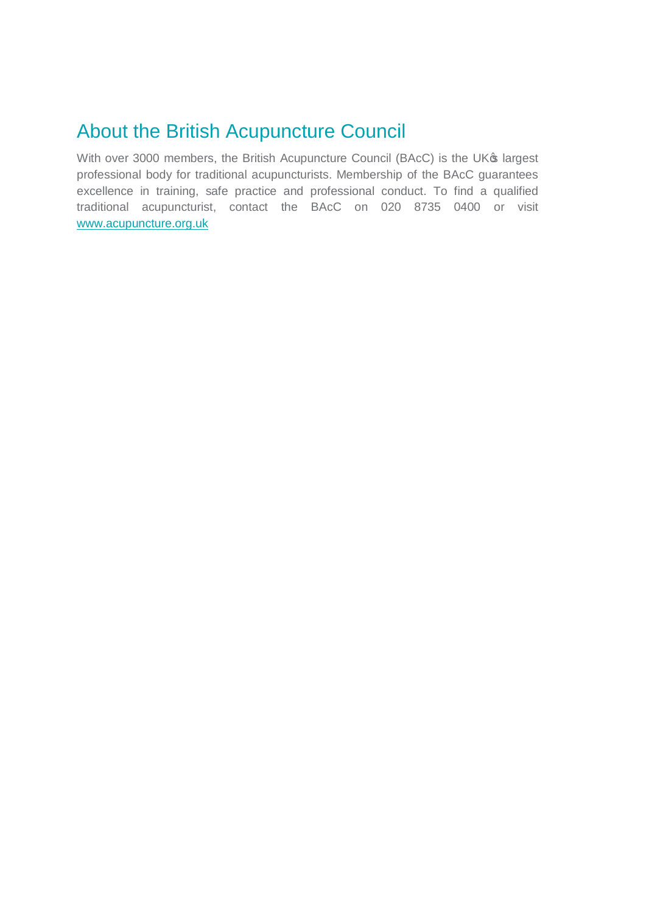### About the British Acupuncture Council

With over 3000 members, the British Acupuncture Council (BAcC) is the UK® largest professional body for traditional acupuncturists. Membership of the BAcC guarantees excellence in training, safe practice and professional conduct. To find a qualified traditional acupuncturist, contact the BAcC on 020 8735 0400 or visit [www.acupuncture.org.uk](http://www.acupuncture.org.uk/)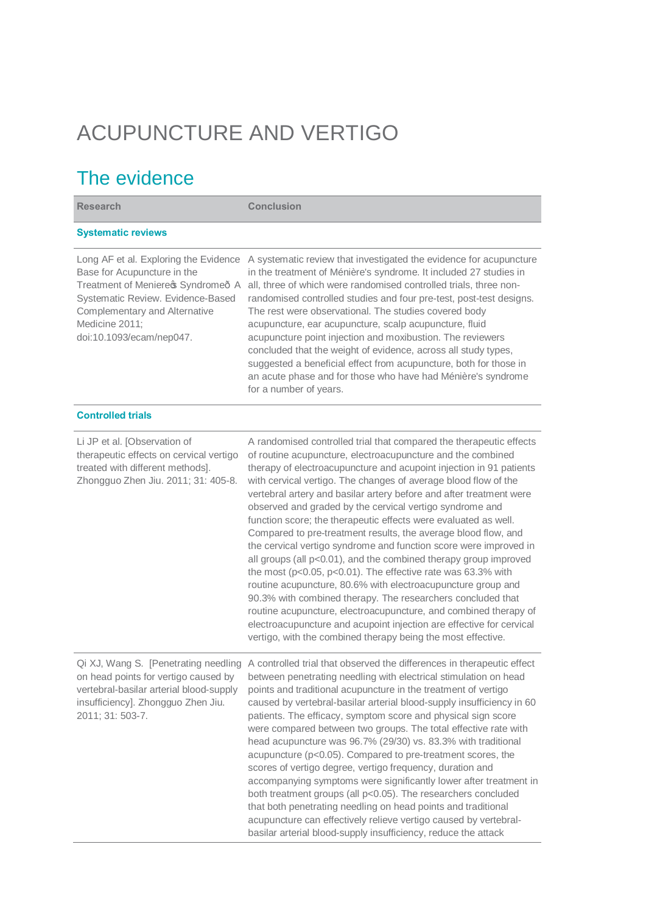# ACUPUNCTURE AND VERTIGO

## The evidence

| <b>Research</b>                                                                                                                                                                                                                | <b>Conclusion</b>                                                                                                                                                                                                                                                                                                                                                                                                                                                                                                                                                                                                                                                                                                                                                                                                                                                                                                                                                                                                                                                                                        |  |  |
|--------------------------------------------------------------------------------------------------------------------------------------------------------------------------------------------------------------------------------|----------------------------------------------------------------------------------------------------------------------------------------------------------------------------------------------------------------------------------------------------------------------------------------------------------------------------------------------------------------------------------------------------------------------------------------------------------------------------------------------------------------------------------------------------------------------------------------------------------------------------------------------------------------------------------------------------------------------------------------------------------------------------------------------------------------------------------------------------------------------------------------------------------------------------------------------------------------------------------------------------------------------------------------------------------------------------------------------------------|--|--|
| <b>Systematic reviews</b>                                                                                                                                                                                                      |                                                                                                                                                                                                                                                                                                                                                                                                                                                                                                                                                                                                                                                                                                                                                                                                                                                                                                                                                                                                                                                                                                          |  |  |
| Long AF et al. Exploring the Evidence<br>Base for Acupuncture in the<br>Treatment of Meniere \$ Syndrome A<br>Systematic Review. Evidence-Based<br>Complementary and Alternative<br>Medicine 2011;<br>doi:10.1093/ecam/nep047. | A systematic review that investigated the evidence for acupuncture<br>in the treatment of Ménière's syndrome. It included 27 studies in<br>all, three of which were randomised controlled trials, three non-<br>randomised controlled studies and four pre-test, post-test designs.<br>The rest were observational. The studies covered body<br>acupuncture, ear acupuncture, scalp acupuncture, fluid<br>acupuncture point injection and moxibustion. The reviewers<br>concluded that the weight of evidence, across all study types,<br>suggested a beneficial effect from acupuncture, both for those in<br>an acute phase and for those who have had Ménière's syndrome<br>for a number of years.                                                                                                                                                                                                                                                                                                                                                                                                    |  |  |
| <b>Controlled trials</b>                                                                                                                                                                                                       |                                                                                                                                                                                                                                                                                                                                                                                                                                                                                                                                                                                                                                                                                                                                                                                                                                                                                                                                                                                                                                                                                                          |  |  |
| Li JP et al. [Observation of<br>therapeutic effects on cervical vertigo<br>treated with different methods].<br>Zhongguo Zhen Jiu. 2011; 31: 405-8.                                                                             | A randomised controlled trial that compared the therapeutic effects<br>of routine acupuncture, electroacupuncture and the combined<br>therapy of electroacupuncture and acupoint injection in 91 patients<br>with cervical vertigo. The changes of average blood flow of the<br>vertebral artery and basilar artery before and after treatment were<br>observed and graded by the cervical vertigo syndrome and<br>function score; the therapeutic effects were evaluated as well.<br>Compared to pre-treatment results, the average blood flow, and<br>the cervical vertigo syndrome and function score were improved in<br>all groups (all p<0.01), and the combined therapy group improved<br>the most (p<0.05, p<0.01). The effective rate was 63.3% with<br>routine acupuncture, 80.6% with electroacupuncture group and<br>90.3% with combined therapy. The researchers concluded that<br>routine acupuncture, electroacupuncture, and combined therapy of<br>electroacupuncture and acupoint injection are effective for cervical<br>vertigo, with the combined therapy being the most effective. |  |  |
| vertebral-basilar arterial blood-supply<br>insufficiency]. Zhongguo Zhen Jiu.<br>2011; 31: 503-7.                                                                                                                              | Qi XJ, Wang S. [Penetrating needling A controlled trial that observed the differences in therapeutic effect<br>on head points for vertigo caused by between penetrating needling with electrical stimulation on head<br>points and traditional acupuncture in the treatment of vertigo<br>caused by vertebral-basilar arterial blood-supply insufficiency in 60<br>patients. The efficacy, symptom score and physical sign score<br>were compared between two groups. The total effective rate with<br>head acupuncture was 96.7% (29/30) vs. 83.3% with traditional<br>acupuncture (p<0.05). Compared to pre-treatment scores, the<br>scores of vertigo degree, vertigo frequency, duration and<br>accompanying symptoms were significantly lower after treatment in<br>both treatment groups (all p<0.05). The researchers concluded<br>that both penetrating needling on head points and traditional<br>acupuncture can effectively relieve vertigo caused by vertebral-<br>basilar arterial blood-supply insufficiency, reduce the attack                                                            |  |  |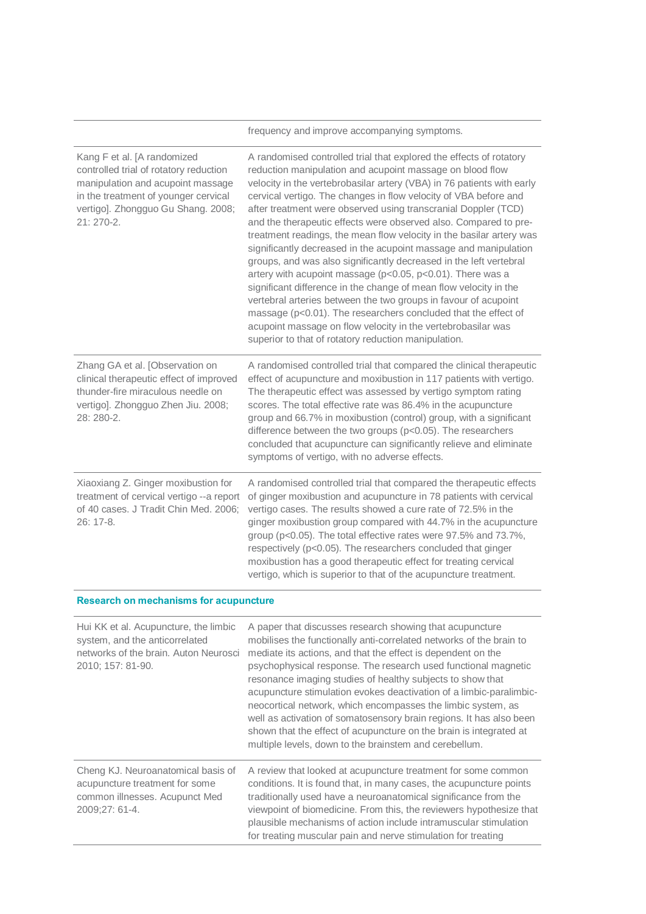|                                                                                                                                                                                                         | frequency and improve accompanying symptoms.                                                                                                                                                                                                                                                                                                                                                                                                                                                                                                                                                                                                                                                                                                                                                                                                                                                                                                                                                                                           |  |
|---------------------------------------------------------------------------------------------------------------------------------------------------------------------------------------------------------|----------------------------------------------------------------------------------------------------------------------------------------------------------------------------------------------------------------------------------------------------------------------------------------------------------------------------------------------------------------------------------------------------------------------------------------------------------------------------------------------------------------------------------------------------------------------------------------------------------------------------------------------------------------------------------------------------------------------------------------------------------------------------------------------------------------------------------------------------------------------------------------------------------------------------------------------------------------------------------------------------------------------------------------|--|
| Kang F et al. [A randomized<br>controlled trial of rotatory reduction<br>manipulation and acupoint massage<br>in the treatment of younger cervical<br>vertigo]. Zhongguo Gu Shang. 2008;<br>$21:270-2.$ | A randomised controlled trial that explored the effects of rotatory<br>reduction manipulation and acupoint massage on blood flow<br>velocity in the vertebrobasilar artery (VBA) in 76 patients with early<br>cervical vertigo. The changes in flow velocity of VBA before and<br>after treatment were observed using transcranial Doppler (TCD)<br>and the therapeutic effects were observed also. Compared to pre-<br>treatment readings, the mean flow velocity in the basilar artery was<br>significantly decreased in the acupoint massage and manipulation<br>groups, and was also significantly decreased in the left vertebral<br>artery with acupoint massage (p<0.05, p<0.01). There was a<br>significant difference in the change of mean flow velocity in the<br>vertebral arteries between the two groups in favour of acupoint<br>massage (p<0.01). The researchers concluded that the effect of<br>acupoint massage on flow velocity in the vertebrobasilar was<br>superior to that of rotatory reduction manipulation. |  |
| Zhang GA et al. [Observation on<br>clinical therapeutic effect of improved<br>thunder-fire miraculous needle on<br>vertigo]. Zhongguo Zhen Jiu. 2008;<br>28: 280-2.                                     | A randomised controlled trial that compared the clinical therapeutic<br>effect of acupuncture and moxibustion in 117 patients with vertigo.<br>The therapeutic effect was assessed by vertigo symptom rating<br>scores. The total effective rate was 86.4% in the acupuncture<br>group and 66.7% in moxibustion (control) group, with a significant<br>difference between the two groups (p<0.05). The researchers<br>concluded that acupuncture can significantly relieve and eliminate<br>symptoms of vertigo, with no adverse effects.                                                                                                                                                                                                                                                                                                                                                                                                                                                                                              |  |
| Xiaoxiang Z. Ginger moxibustion for<br>treatment of cervical vertigo -- a report<br>of 40 cases. J Tradit Chin Med. 2006;<br>26: 17-8.                                                                  | A randomised controlled trial that compared the therapeutic effects<br>of ginger moxibustion and acupuncture in 78 patients with cervical<br>vertigo cases. The results showed a cure rate of 72.5% in the<br>ginger moxibustion group compared with 44.7% in the acupuncture<br>group (p<0.05). The total effective rates were 97.5% and 73.7%,<br>respectively (p<0.05). The researchers concluded that ginger<br>moxibustion has a good therapeutic effect for treating cervical<br>vertigo, which is superior to that of the acupuncture treatment.                                                                                                                                                                                                                                                                                                                                                                                                                                                                                |  |
| <b>Research on mechanisms for acupuncture</b>                                                                                                                                                           |                                                                                                                                                                                                                                                                                                                                                                                                                                                                                                                                                                                                                                                                                                                                                                                                                                                                                                                                                                                                                                        |  |
| Hui KK et al. Acupuncture, the limbic<br>system, and the anticorrelated                                                                                                                                 | A paper that discusses research showing that acupuncture<br>mobilises the functionally anti-correlated networks of the brain to                                                                                                                                                                                                                                                                                                                                                                                                                                                                                                                                                                                                                                                                                                                                                                                                                                                                                                        |  |

| system, and the anticorrelated<br>networks of the brain. Auton Neurosci<br>2010; 157: 81-90.                             | mobilises the functionally anti-correlated networks of the brain to<br>mediate its actions, and that the effect is dependent on the<br>psychophysical response. The research used functional magnetic<br>resonance imaging studies of healthy subjects to show that<br>acupuncture stimulation evokes deactivation of a limbic-paralimbic-<br>neocortical network, which encompasses the limbic system, as<br>well as activation of somatosensory brain regions. It has also been<br>shown that the effect of acupuncture on the brain is integrated at<br>multiple levels, down to the brainstem and cerebellum. |
|--------------------------------------------------------------------------------------------------------------------------|-------------------------------------------------------------------------------------------------------------------------------------------------------------------------------------------------------------------------------------------------------------------------------------------------------------------------------------------------------------------------------------------------------------------------------------------------------------------------------------------------------------------------------------------------------------------------------------------------------------------|
| Cheng KJ. Neuroanatomical basis of<br>acupuncture treatment for some<br>common illnesses. Acupunct Med<br>2009;27: 61-4. | A review that looked at acupuncture treatment for some common<br>conditions. It is found that, in many cases, the acupuncture points<br>traditionally used have a neuroanatomical significance from the<br>viewpoint of biomedicine. From this, the reviewers hypothesize that<br>plausible mechanisms of action include intramuscular stimulation<br>for treating muscular pain and nerve stimulation for treating                                                                                                                                                                                               |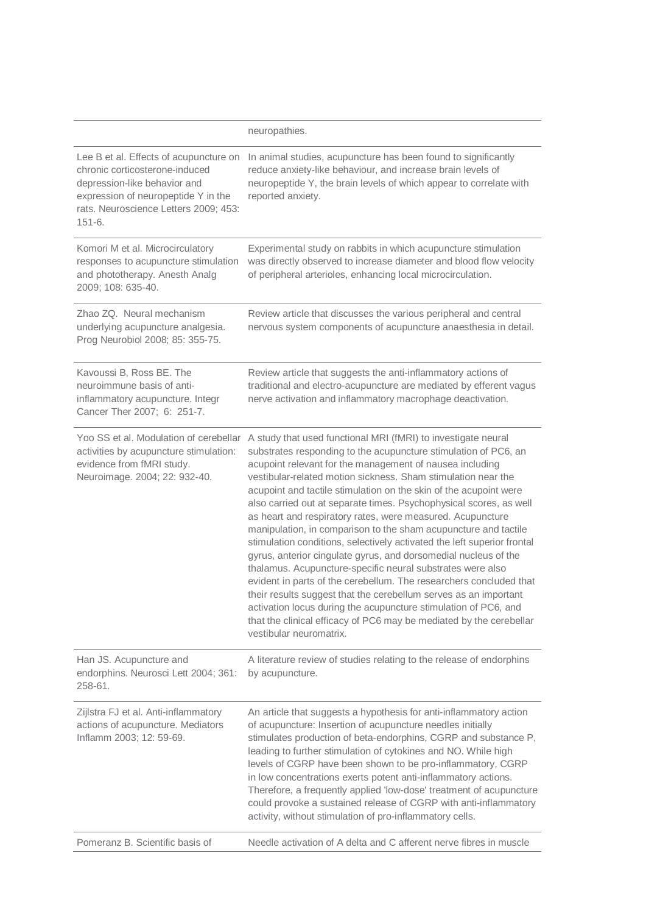|                                                                                                                                                                                                        | neuropathies.                                                                                                                                                                                                                                                                                                                                                                                                                                                                                                                                                                                                                                                                                                                                                                                                                                                                                                                                                                                                                                                        |
|--------------------------------------------------------------------------------------------------------------------------------------------------------------------------------------------------------|----------------------------------------------------------------------------------------------------------------------------------------------------------------------------------------------------------------------------------------------------------------------------------------------------------------------------------------------------------------------------------------------------------------------------------------------------------------------------------------------------------------------------------------------------------------------------------------------------------------------------------------------------------------------------------------------------------------------------------------------------------------------------------------------------------------------------------------------------------------------------------------------------------------------------------------------------------------------------------------------------------------------------------------------------------------------|
| Lee B et al. Effects of acupuncture on<br>chronic corticosterone-induced<br>depression-like behavior and<br>expression of neuropeptide Y in the<br>rats. Neuroscience Letters 2009; 453:<br>$151 - 6.$ | In animal studies, acupuncture has been found to significantly<br>reduce anxiety-like behaviour, and increase brain levels of<br>neuropeptide Y, the brain levels of which appear to correlate with<br>reported anxiety.                                                                                                                                                                                                                                                                                                                                                                                                                                                                                                                                                                                                                                                                                                                                                                                                                                             |
| Komori M et al. Microcirculatory<br>responses to acupuncture stimulation<br>and phototherapy. Anesth Analg<br>2009; 108: 635-40.                                                                       | Experimental study on rabbits in which acupuncture stimulation<br>was directly observed to increase diameter and blood flow velocity<br>of peripheral arterioles, enhancing local microcirculation.                                                                                                                                                                                                                                                                                                                                                                                                                                                                                                                                                                                                                                                                                                                                                                                                                                                                  |
| Zhao ZQ. Neural mechanism<br>underlying acupuncture analgesia.<br>Prog Neurobiol 2008; 85: 355-75.                                                                                                     | Review article that discusses the various peripheral and central<br>nervous system components of acupuncture anaesthesia in detail.                                                                                                                                                                                                                                                                                                                                                                                                                                                                                                                                                                                                                                                                                                                                                                                                                                                                                                                                  |
| Kavoussi B, Ross BE. The<br>neuroimmune basis of anti-<br>inflammatory acupuncture. Integr<br>Cancer Ther 2007; 6: 251-7.                                                                              | Review article that suggests the anti-inflammatory actions of<br>traditional and electro-acupuncture are mediated by efferent vagus<br>nerve activation and inflammatory macrophage deactivation.                                                                                                                                                                                                                                                                                                                                                                                                                                                                                                                                                                                                                                                                                                                                                                                                                                                                    |
| Yoo SS et al. Modulation of cerebellar<br>activities by acupuncture stimulation:<br>evidence from fMRI study.<br>Neuroimage. 2004; 22: 932-40.                                                         | A study that used functional MRI (fMRI) to investigate neural<br>substrates responding to the acupuncture stimulation of PC6, an<br>acupoint relevant for the management of nausea including<br>vestibular-related motion sickness. Sham stimulation near the<br>acupoint and tactile stimulation on the skin of the acupoint were<br>also carried out at separate times. Psychophysical scores, as well<br>as heart and respiratory rates, were measured. Acupuncture<br>manipulation, in comparison to the sham acupuncture and tactile<br>stimulation conditions, selectively activated the left superior frontal<br>gyrus, anterior cingulate gyrus, and dorsomedial nucleus of the<br>thalamus. Acupuncture-specific neural substrates were also<br>evident in parts of the cerebellum. The researchers concluded that<br>their results suggest that the cerebellum serves as an important<br>activation locus during the acupuncture stimulation of PC6, and<br>that the clinical efficacy of PC6 may be mediated by the cerebellar<br>vestibular neuromatrix. |
| Han JS. Acupuncture and<br>endorphins. Neurosci Lett 2004; 361:<br>258-61.                                                                                                                             | A literature review of studies relating to the release of endorphins<br>by acupuncture.                                                                                                                                                                                                                                                                                                                                                                                                                                                                                                                                                                                                                                                                                                                                                                                                                                                                                                                                                                              |
| Zijlstra FJ et al. Anti-inflammatory<br>actions of acupuncture. Mediators<br>Inflamm 2003; 12: 59-69.                                                                                                  | An article that suggests a hypothesis for anti-inflammatory action<br>of acupuncture: Insertion of acupuncture needles initially<br>stimulates production of beta-endorphins, CGRP and substance P,<br>leading to further stimulation of cytokines and NO. While high<br>levels of CGRP have been shown to be pro-inflammatory, CGRP<br>in low concentrations exerts potent anti-inflammatory actions.<br>Therefore, a frequently applied 'low-dose' treatment of acupuncture<br>could provoke a sustained release of CGRP with anti-inflammatory<br>activity, without stimulation of pro-inflammatory cells.                                                                                                                                                                                                                                                                                                                                                                                                                                                        |
| Pomeranz B. Scientific basis of                                                                                                                                                                        | Needle activation of A delta and C afferent nerve fibres in muscle                                                                                                                                                                                                                                                                                                                                                                                                                                                                                                                                                                                                                                                                                                                                                                                                                                                                                                                                                                                                   |